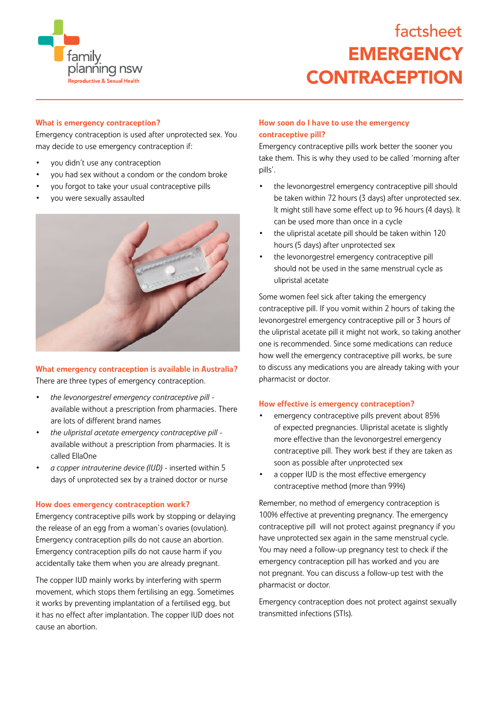

# **EMERGENCY CONTRACEPTION** factsheet

## What is emergency contraception?

Emergency contraception is used after unprotected sex. You may decide to use emergency contraception if:

- you didn't use any contraception
- you had sex without a condom or the condom broke
- you forgot to take your usual contraceptive pills
- you were sexually assaulted



## What emergency contraception is available in Australia? There are three types of emergency contraception.

- *• the levonorgestrel emergency contraceptive pill* available without a prescription from pharmacies. There are lots of different brand names
- *• the ulipristal acetate emergency contraceptive pill* available without a prescription from pharmacies. It is called EllaOne
- *• a copper intrauterine device (IUD)*  inserted within 5 days of unprotected sex by a trained doctor or nurse

## How does emergency contraception work?

Emergency contraceptive pills work by stopping or delaying the release of an egg from a woman's ovaries (ovulation). Emergency contraception pills do not cause an abortion. Emergency contraception pills do not cause harm if you accidentally take them when you are already pregnant.

The copper IUD mainly works by interfering with sperm movement, which stops them fertilising an egg. Sometimes it works by preventing implantation of a fertilised egg, but it has no effect after implantation. The copper IUD does not cause an abortion.

# How soon do I have to use the emergency contraceptive pill?

Emergency contraceptive pills work better the sooner you take them. This is why they used to be called 'morning after pills'.

- the levonorgestrel emergency contraceptive pill should be taken within 72 hours (3 days) after unprotected sex. It might still have some effect up to 96 hours (4 days). It can be used more than once in a cycle
- the ulipristal acetate pill should be taken within 120 hours (5 days) after unprotected sex
- the levonorgestrel emergency contraceptive pill should not be used in the same menstrual cycle as ulipristal acetate

Some women feel sick after taking the emergency contraceptive pill. If you vomit within 2 hours of taking the levonorgestrel emergency contraceptive pill or 3 hours of the ulipristal acetate pill it might not work, so taking another one is recommended. Since some medications can reduce how well the emergency contraceptive pill works, be sure to discuss any medications you are already taking with your pharmacist or doctor.

#### How effective is emergency contraception?

- emergency contraceptive pills prevent about 85% of expected pregnancies. Ulipristal acetate is slightly more effective than the levonorgestrel emergency contraceptive pill. They work best if they are taken as soon as possible after unprotected sex
- a copper IUD is the most effective emergency contraceptive method (more than 99%)

Remember, no method of emergency contraception is 100% effective at preventing pregnancy. The emergency contraceptive pill will not protect against pregnancy if you have unprotected sex again in the same menstrual cycle. You may need a follow-up pregnancy test to check if the emergency contraception pill has worked and you are not pregnant. You can discuss a follow-up test with the pharmacist or doctor.

Emergency contraception does not protect against sexually transmitted infections (STIs).